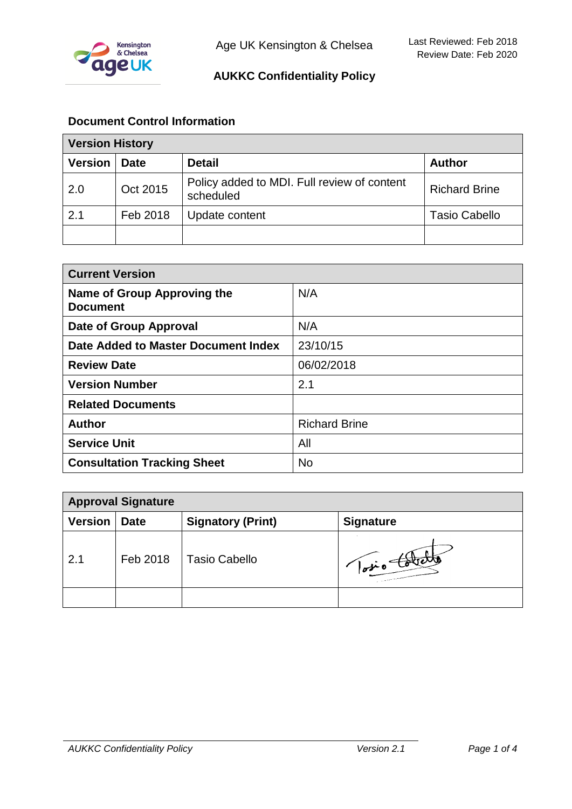

# **AUKKC Confidentiality Policy**

# **Document Control Information**

| <b>Version History</b> |             |                                                          |                      |
|------------------------|-------------|----------------------------------------------------------|----------------------|
| <b>Version</b>         | <b>Date</b> | <b>Detail</b>                                            | <b>Author</b>        |
| 2.0                    | Oct 2015    | Policy added to MDI. Full review of content<br>scheduled | <b>Richard Brine</b> |
| 2.1                    | Feb 2018    | Update content                                           | <b>Tasio Cabello</b> |
|                        |             |                                                          |                      |

| <b>Current Version</b>                         |                      |  |
|------------------------------------------------|----------------------|--|
| Name of Group Approving the<br><b>Document</b> | N/A                  |  |
| Date of Group Approval                         | N/A                  |  |
| Date Added to Master Document Index            | 23/10/15             |  |
| <b>Review Date</b>                             | 06/02/2018           |  |
| <b>Version Number</b>                          | 2.1                  |  |
| <b>Related Documents</b>                       |                      |  |
| <b>Author</b>                                  | <b>Richard Brine</b> |  |
| <b>Service Unit</b>                            | All                  |  |
| <b>Consultation Tracking Sheet</b>             | <b>No</b>            |  |

| <b>Approval Signature</b> |             |                          |                  |
|---------------------------|-------------|--------------------------|------------------|
| <b>Version</b>            | <b>Date</b> | <b>Signatory (Print)</b> | <b>Signature</b> |
| 2.1                       | Feb 2018    | <b>Tasio Cabello</b>     | · lotio tou      |
|                           |             |                          |                  |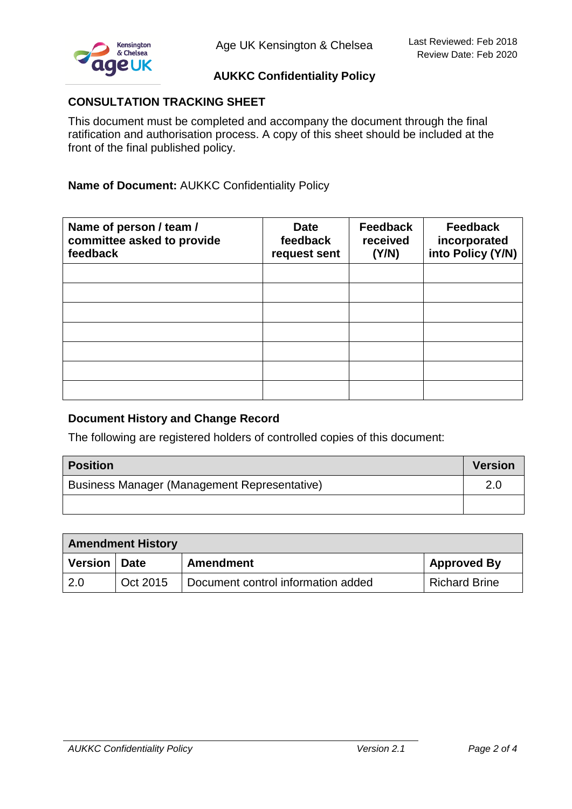

# **AUKKC Confidentiality Policy**

#### **CONSULTATION TRACKING SHEET**

This document must be completed and accompany the document through the final ratification and authorisation process. A copy of this sheet should be included at the front of the final published policy.

# **Name of Document:** AUKKC Confidentiality Policy

| Name of person / team /<br>committee asked to provide<br>feedback | <b>Date</b><br>feedback<br>request sent | <b>Feedback</b><br>received<br>(Y/N) | <b>Feedback</b><br>incorporated<br>into Policy (Y/N) |
|-------------------------------------------------------------------|-----------------------------------------|--------------------------------------|------------------------------------------------------|
|                                                                   |                                         |                                      |                                                      |
|                                                                   |                                         |                                      |                                                      |
|                                                                   |                                         |                                      |                                                      |
|                                                                   |                                         |                                      |                                                      |
|                                                                   |                                         |                                      |                                                      |
|                                                                   |                                         |                                      |                                                      |
|                                                                   |                                         |                                      |                                                      |

#### **Document History and Change Record**

The following are registered holders of controlled copies of this document:

| <b>Position</b>                              | <b>Version</b> |
|----------------------------------------------|----------------|
| Business Manager (Management Representative) |                |
|                                              |                |

| <b>Amendment History</b> |             |                                    |                    |
|--------------------------|-------------|------------------------------------|--------------------|
| <b>Version</b>           | <b>Date</b> | Amendment                          | <b>Approved By</b> |
| 2.0                      | Oct 2015    | Document control information added | Richard Brine      |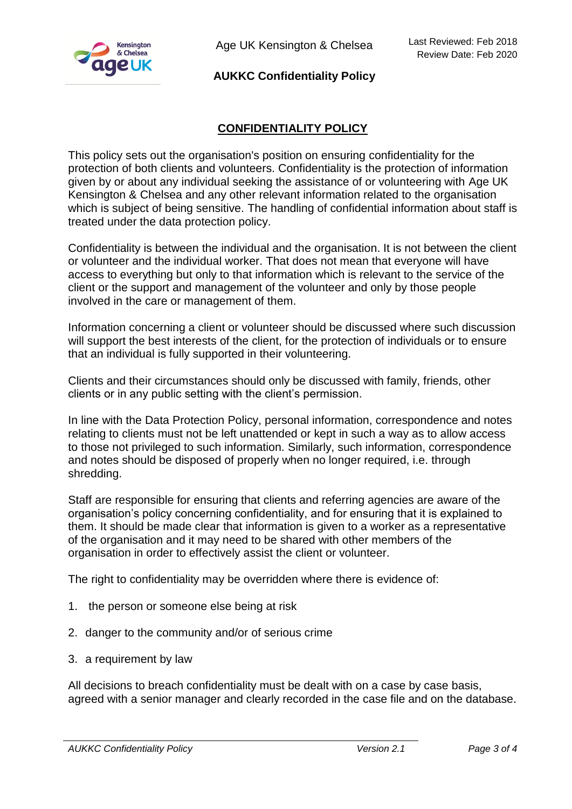

Age UK Kensington & Chelsea

#### **AUKKC Confidentiality Policy**

# **CONFIDENTIALITY POLICY**

This policy sets out the organisation's position on ensuring confidentiality for the protection of both clients and volunteers. Confidentiality is the protection of information given by or about any individual seeking the assistance of or volunteering with Age UK Kensington & Chelsea and any other relevant information related to the organisation which is subject of being sensitive. The handling of confidential information about staff is treated under the data protection policy.

Confidentiality is between the individual and the organisation. It is not between the client or volunteer and the individual worker. That does not mean that everyone will have access to everything but only to that information which is relevant to the service of the client or the support and management of the volunteer and only by those people involved in the care or management of them.

Information concerning a client or volunteer should be discussed where such discussion will support the best interests of the client, for the protection of individuals or to ensure that an individual is fully supported in their volunteering.

Clients and their circumstances should only be discussed with family, friends, other clients or in any public setting with the client's permission.

In line with the Data Protection Policy, personal information, correspondence and notes relating to clients must not be left unattended or kept in such a way as to allow access to those not privileged to such information. Similarly, such information, correspondence and notes should be disposed of properly when no longer required, i.e. through shredding.

Staff are responsible for ensuring that clients and referring agencies are aware of the organisation's policy concerning confidentiality, and for ensuring that it is explained to them. It should be made clear that information is given to a worker as a representative of the organisation and it may need to be shared with other members of the organisation in order to effectively assist the client or volunteer.

The right to confidentiality may be overridden where there is evidence of:

- 1. the person or someone else being at risk
- 2. danger to the community and/or of serious crime
- 3. a requirement by law

All decisions to breach confidentiality must be dealt with on a case by case basis, agreed with a senior manager and clearly recorded in the case file and on the database.